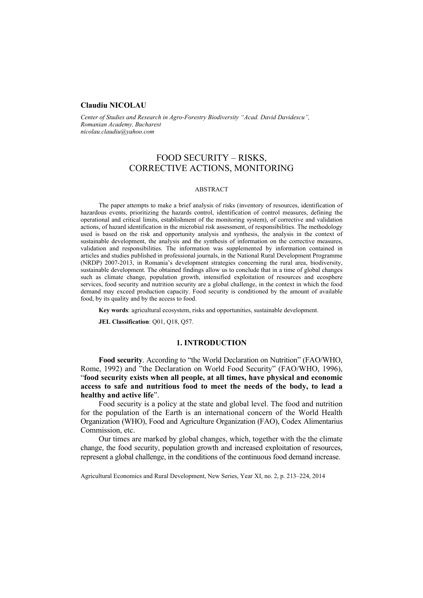#### **Claudiu NICOLAU**

*Center of Studies and Research in Agro-Forestry Biodiversity "Acad. David Davidescu", Romanian Academy, Bucharest nicolau.claudiu@yahoo.com* 

# FOOD SECURITY – RISKS, CORRECTIVE ACTIONS, MONITORING

#### ABSTRACT

The paper attempts to make a brief analysis of risks (inventory of resources, identification of hazardous events, prioritizing the hazards control, identification of control measures, defining the operational and critical limits, establishment of the monitoring system), of corrective and validation actions, of hazard identification in the microbial risk assessment, of responsibilities. The methodology used is based on the risk and opportunity analysis and synthesis, the analysis in the context of sustainable development, the analysis and the synthesis of information on the corrective measures, validation and responsibilities. The information was supplemented by information contained in articles and studies published in professional journals, in the National Rural Development Programme (NRDP) 2007-2013, in Romania's development strategies concerning the rural area, biodiversity, sustainable development. The obtained findings allow us to conclude that in a time of global changes such as climate change, population growth, intensified exploitation of resources and ecosphere services, food security and nutrition security are a global challenge, in the context in which the food demand may exceed production capacity. Food security is conditioned by the amount of available food, by its quality and by the access to food.

**Key words**: agricultural ecosystem, risks and opportunities, sustainable development.

**JEL Classification**: Q01, Q18, Q57.

#### **1. INTRODUCTION**

**Food security**. According to "the World Declaration on Nutrition" (FAO/WHO, Rome, 1992) and "the Declaration on World Food Security" (FAO/WHO, 1996), "**food security exists when all people, at all times, have physical and economic access to safe and nutritious food to meet the needs of the body, to lead a healthy and active life**".

Food security is a policy at the state and global level. The food and nutrition for the population of the Earth is an international concern of the World Health Organization (WHO), Food and Agriculture Organization (FAO), Codex Alimentarius Commission, etc.

Our times are marked by global changes, which, together with the the climate change, the food security, population growth and increased exploitation of resources, represent a global challenge, in the conditions of the continuous food demand increase.

Agricultural Economics and Rural Development, New Series, Year XI, no. 2, p. 213–224, 2014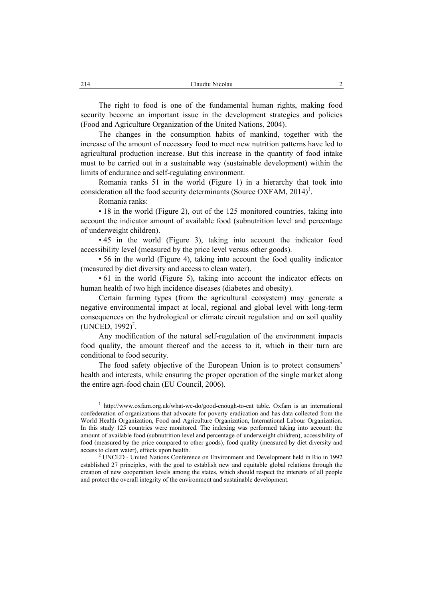The right to food is one of the fundamental human rights, making food security become an important issue in the development strategies and policies (Food and Agriculture Organization of the United Nations, 2004).

The changes in the consumption habits of mankind, together with the increase of the amount of necessary food to meet new nutrition patterns have led to agricultural production increase. But this increase in the quantity of food intake must to be carried out in a sustainable way (sustainable development) within the limits of endurance and self-regulating environment.

Romania ranks 51 in the world (Figure 1) in a hierarchy that took into consideration all the food security determinants (Source OXFAM,  $2014$ <sup>1</sup>.

Romania ranks:

• 18 in the world (Figure 2), out of the 125 monitored countries, taking into account the indicator amount of available food (subnutrition level and percentage of underweight children).

• 45 in the world (Figure 3), taking into account the indicator food accessibility level (measured by the price level versus other goods).

• 56 in the world (Figure 4), taking into account the food quality indicator (measured by diet diversity and access to clean water).

• 61 in the world (Figure 5), taking into account the indicator effects on human health of two high incidence diseases (diabetes and obesity).

Certain farming types (from the agricultural ecosystem) may generate a negative environmental impact at local, regional and global level with long-term consequences on the hydrological or climate circuit regulation and on soil quality  $(UNCED, 1992)^2$ .

Any modification of the natural self-regulation of the environment impacts food quality, the amount thereof and the access to it, which in their turn are conditional to food security.

The food safety objective of the European Union is to protect consumers' health and interests, while ensuring the proper operation of the single market along the entire agri-food chain (EU Council, 2006).

<sup>1</sup> http://www.oxfam.org.uk/what-we-do/good-enough-to-eat table. Oxfam is an international confederation of organizations that advocate for poverty eradication and has data collected from the World Health Organization, Food and Agriculture Organization, International Labour Organization. In this study 125 countries were monitored. The indexing was performed taking into account: the amount of available food (subnutrition level and percentage of underweight children), accessibility of food (measured by the price compared to other goods), food quality (measured by diet diversity and access to clean water), effects upon health. 2

 UNCED - United Nations Conference on Environment and Development held in Rio in 1992 established 27 principles, with the goal to establish new and equitable global relations through the creation of new cooperation levels among the states, which should respect the interests of all people and protect the overall integrity of the environment and sustainable development.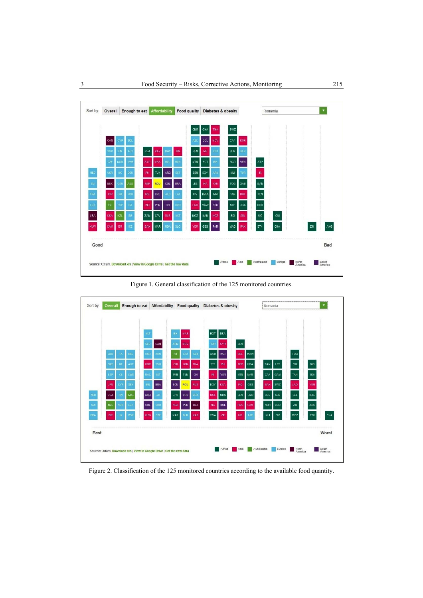

Figure 1. General classification of the 125 monitored countries.



Figure 2. Classification of the 125 monitored countries according to the available food quantity.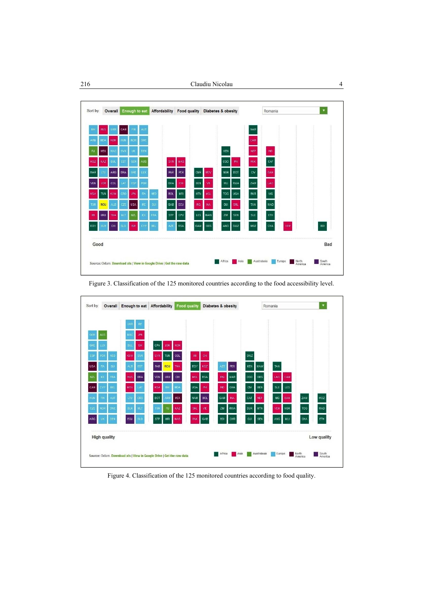



Figure 3. Classification of the 125 monitored countries according to the food accessibility level.

Figure 4. Classification of the 125 monitored countries according to food quality.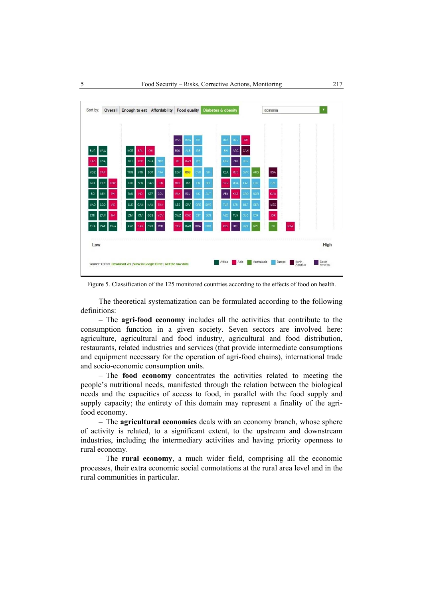

Figure 5. Classification of the 125 monitored countries according to the effects of food on health.

The theoretical systematization can be formulated according to the following definitions:

– The **agri-food economy** includes all the activities that contribute to the consumption function in a given society. Seven sectors are involved here: agriculture, agricultural and food industry, agricultural and food distribution, restaurants, related industries and services (that provide intermediate consumptions and equipment necessary for the operation of agri-food chains), international trade and socio-economic consumption units.

– The **food economy** concentrates the activities related to meeting the people's nutritional needs, manifested through the relation between the biological needs and the capacities of access to food, in parallel with the food supply and supply capacity; the entirety of this domain may represent a finality of the agrifood economy.

– The **agricultural economics** deals with an economy branch, whose sphere of activity is related, to a significant extent, to the upstream and downstream industries, including the intermediary activities and having priority openness to rural economy.

– The **rural economy**, a much wider field, comprising all the economic processes, their extra economic social connotations at the rural area level and in the rural communities in particular.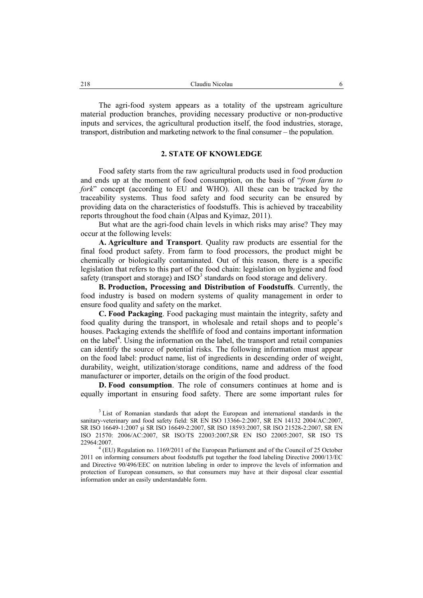The agri-food system appears as a totality of the upstream agriculture material production branches, providing necessary productive or non-productive inputs and services, the agricultural production itself, the food industries, storage, transport, distribution and marketing network to the final consumer – the population.

# **2. STATE OF KNOWLEDGE**

Food safety starts from the raw agricultural products used in food production and ends up at the moment of food consumption, on the basis of "*from farm to fork*" concept (according to EU and WHO). All these can be tracked by the traceability systems. Thus food safety and food security can be ensured by providing data on the characteristics of foodstuffs. This is achieved by traceability reports throughout the food chain (Alpas and Kyimaz, 2011).

But what are the agri-food chain levels in which risks may arise? They may occur at the following levels:

**A. Agriculture and Transport**. Quality raw products are essential for the final food product safety. From farm to food processors, the product might be chemically or biologically contaminated. Out of this reason, there is a specific legislation that refers to this part of the food chain: legislation on hygiene and food safety (transport and storage) and  $ISO<sup>3</sup>$  standards on food storage and delivery.

**B. Production, Processing and Distribution of Foodstuffs**. Currently, the food industry is based on modern systems of quality management in order to ensure food quality and safety on the market.

**C. Food Packaging**. Food packaging must maintain the integrity, safety and food quality during the transport, in wholesale and retail shops and to people's houses. Packaging extends the shelflife of food and contains important information on the label<sup>4</sup>. Using the information on the label, the transport and retail companies can identify the source of potential risks. The following information must appear on the food label: product name, list of ingredients in descending order of weight, durability, weight, utilization/storage conditions, name and address of the food manufacturer or importer, details on the origin of the food product.

**D. Food consumption**. The role of consumers continues at home and is equally important in ensuring food safety. There are some important rules for

<sup>&</sup>lt;sup>3</sup> List of Romanian standards that adopt the European and international standards in the sanitary-veterinary and food safety field: SR EN ISO 13366-2:2007, SR EN 14132 2004/AC:2007, SR ISO 16649-1:2007 şi SR ISO 16649-2:2007, SR ISO 18593:2007, SR ISO 21528-2:2007, SR EN ISO 21570: 2006/AC:2007, SR ISO/TS 22003:2007,SR EN ISO 22005:2007, SR ISO TS 22964:2007. 4

<sup>&</sup>lt;sup>4</sup> (EU) Regulation no. 1169/2011 of the European Parliament and of the Council of 25 October 2011 on informing consumers about foodstuffs put together the food labeling Directive 2000/13/EC and Directive 90/496/EEC on nutrition labeling in order to improve the levels of information and protection of European consumers, so that consumers may have at their disposal clear essential information under an easily understandable form.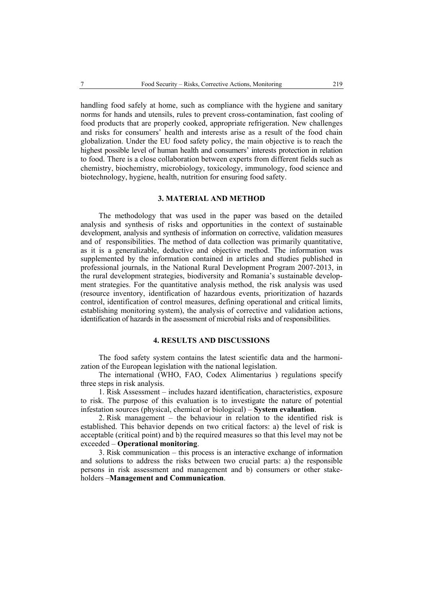handling food safely at home, such as compliance with the hygiene and sanitary norms for hands and utensils, rules to prevent cross-contamination, fast cooling of food products that are properly cooked, appropriate refrigeration. New challenges and risks for consumers' health and interests arise as a result of the food chain globalization. Under the EU food safety policy, the main objective is to reach the highest possible level of human health and consumers' interests protection in relation to food. There is a close collaboration between experts from different fields such as chemistry, biochemistry, microbiology, toxicology, immunology, food science and biotechnology, hygiene, health, nutrition for ensuring food safety.

# **3. MATERIAL AND METHOD**

The methodology that was used in the paper was based on the detailed analysis and synthesis of risks and opportunities in the context of sustainable development, analysis and synthesis of information on corrective, validation measures and of responsibilities. The method of data collection was primarily quantitative, as it is a generalizable, deductive and objective method. The information was supplemented by the information contained in articles and studies published in professional journals, in the National Rural Development Program 2007-2013, in the rural development strategies, biodiversity and Romania's sustainable development strategies. For the quantitative analysis method, the risk analysis was used (resource inventory, identification of hazardous events, prioritization of hazards control, identification of control measures, defining operational and critical limits, establishing monitoring system), the analysis of corrective and validation actions, identification of hazards in the assessment of microbial risks and of responsibilities.

#### **4. RESULTS AND DISCUSSIONS**

The food safety system contains the latest scientific data and the harmonization of the European legislation with the national legislation.

The international (WHO, FAO, Codex Alimentarius ) regulations specify three steps in risk analysis.

1. Risk Assessment – includes hazard identification, characteristics, exposure to risk. The purpose of this evaluation is to investigate the nature of potential infestation sources (physical, chemical or biological) – **System evaluation**.

2. Risk management – the behaviour in relation to the identified risk is established. This behavior depends on two critical factors: a) the level of risk is acceptable (critical point) and b) the required measures so that this level may not be exceeded – **Operational monitoring**.

3. Risk communication – this process is an interactive exchange of information and solutions to address the risks between two crucial parts: a) the responsible persons in risk assessment and management and b) consumers or other stakeholders –**Management and Communication**.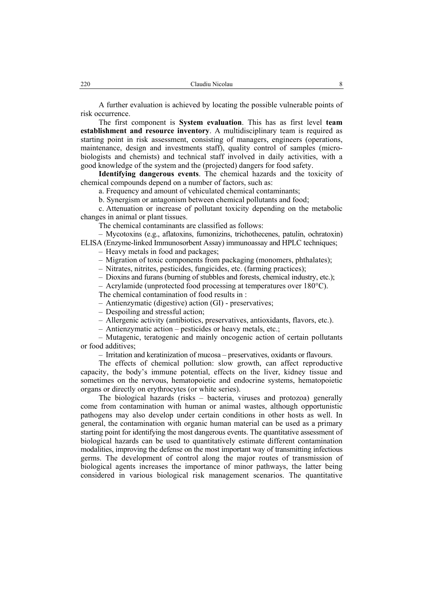A further evaluation is achieved by locating the possible vulnerable points of risk occurrence.

The first component is **System evaluation**. This has as first level **team establishment and resource inventory**. A multidisciplinary team is required as starting point in risk assessment, consisting of managers, engineers (operations, maintenance, design and investments staff), quality control of samples (microbiologists and chemists) and technical staff involved in daily activities, with a good knowledge of the system and the (projected) dangers for food safety.

**Identifying dangerous events**. The chemical hazards and the toxicity of chemical compounds depend on a number of factors, such as:

a. Frequency and amount of vehiculated chemical contaminants;

b. Synergism or antagonism between chemical pollutants and food;

c. Attenuation or increase of pollutant toxicity depending on the metabolic changes in animal or plant tissues.

The chemical contaminants are classified as follows:

– Mycotoxins (e.g., aflatoxins, fumonizins, trichothecenes, patulin, ochratoxin) ELISA (Enzyme-linked Immunosorbent Assay) immunoassay and HPLC techniques;

– Heavy metals in food and packages;

– Migration of toxic components from packaging (monomers, phthalates);

– Nitrates, nitrites, pesticides, fungicides, etc. (farming practices);

– Dioxins and furans (burning of stubbles and forests, chemical industry, etc.);

– Acrylamide (unprotected food processing at temperatures over 180°C).

The chemical contamination of food results in :

– Antienzymatic (digestive) action (GI) - preservatives;

– Despoiling and stressful action;

– Allergenic activity (antibiotics, preservatives, antioxidants, flavors, etc.).

– Antienzymatic action – pesticides or heavy metals, etc.;

– Mutagenic, teratogenic and mainly oncogenic action of certain pollutants or food additives;

– Irritation and keratinization of mucosa – preservatives, oxidants or flavours.

The effects of chemical pollution: slow growth, can affect reproductive capacity, the body's immune potential, effects on the liver, kidney tissue and sometimes on the nervous, hematopoietic and endocrine systems, hematopoietic organs or directly on erythrocytes (or white series).

The biological hazards (risks – bacteria, viruses and protozoa) generally come from contamination with human or animal wastes, although opportunistic pathogens may also develop under certain conditions in other hosts as well. In general, the contamination with organic human material can be used as a primary starting point for identifying the most dangerous events. The quantitative assessment of biological hazards can be used to quantitatively estimate different contamination modalities, improving the defense on the most important way of transmitting infectious germs. The development of control along the major routes of transmission of biological agents increases the importance of minor pathways, the latter being considered in various biological risk management scenarios. The quantitative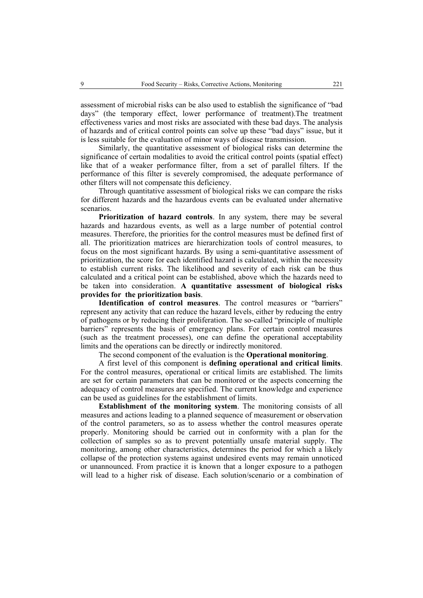assessment of microbial risks can be also used to establish the significance of "bad days" (the temporary effect, lower performance of treatment).The treatment effectiveness varies and most risks are associated with these bad days. The analysis of hazards and of critical control points can solve up these "bad days" issue, but it is less suitable for the evaluation of minor ways of disease transmission.

Similarly, the quantitative assessment of biological risks can determine the significance of certain modalities to avoid the critical control points (spatial effect) like that of a weaker performance filter, from a set of parallel filters. If the performance of this filter is severely compromised, the adequate performance of other filters will not compensate this deficiency.

Through quantitative assessment of biological risks we can compare the risks for different hazards and the hazardous events can be evaluated under alternative scenarios.

**Prioritization of hazard controls**. In any system, there may be several hazards and hazardous events, as well as a large number of potential control measures. Therefore, the priorities for the control measures must be defined first of all. The prioritization matrices are hierarchization tools of control measures, to focus on the most significant hazards. By using a semi-quantitative assessment of prioritization, the score for each identified hazard is calculated, within the necessity to establish current risks. The likelihood and severity of each risk can be thus calculated and a critical point can be established, above which the hazards need to be taken into consideration. **A quantitative assessment of biological risks provides for the prioritization basis**.

**Identification of control measures**. The control measures or "barriers" represent any activity that can reduce the hazard levels, either by reducing the entry of pathogens or by reducing their proliferation. The so-called "principle of multiple barriers" represents the basis of emergency plans. For certain control measures (such as the treatment processes), one can define the operational acceptability limits and the operations can be directly or indirectly monitored.

The second component of the evaluation is the **Operational monitoring**.

A first level of this component is **defining operational and critical limits**. For the control measures, operational or critical limits are established. The limits are set for certain parameters that can be monitored or the aspects concerning the adequacy of control measures are specified. The current knowledge and experience can be used as guidelines for the establishment of limits.

**Establishment of the monitoring system**. The monitoring consists of all measures and actions leading to a planned sequence of measurement or observation of the control parameters, so as to assess whether the control measures operate properly. Monitoring should be carried out in conformity with a plan for the collection of samples so as to prevent potentially unsafe material supply. The monitoring, among other characteristics, determines the period for which a likely collapse of the protection systems against undesired events may remain unnoticed or unannounced. From practice it is known that a longer exposure to a pathogen will lead to a higher risk of disease. Each solution/scenario or a combination of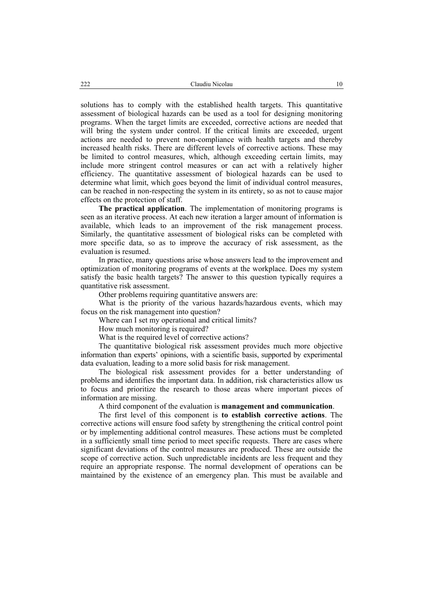solutions has to comply with the established health targets. This quantitative assessment of biological hazards can be used as a tool for designing monitoring programs. When the target limits are exceeded, corrective actions are needed that will bring the system under control. If the critical limits are exceeded, urgent actions are needed to prevent non-compliance with health targets and thereby increased health risks. There are different levels of corrective actions. These may be limited to control measures, which, although exceeding certain limits, may include more stringent control measures or can act with a relatively higher efficiency. The quantitative assessment of biological hazards can be used to determine what limit, which goes beyond the limit of individual control measures, can be reached in non-respecting the system in its entirety, so as not to cause major effects on the protection of staff.

**The practical application**. The implementation of monitoring programs is seen as an iterative process. At each new iteration a larger amount of information is available, which leads to an improvement of the risk management process. Similarly, the quantitative assessment of biological risks can be completed with more specific data, so as to improve the accuracy of risk assessment, as the evaluation is resumed.

In practice, many questions arise whose answers lead to the improvement and optimization of monitoring programs of events at the workplace. Does my system satisfy the basic health targets? The answer to this question typically requires a quantitative risk assessment.

Other problems requiring quantitative answers are:

What is the priority of the various hazards/hazardous events, which may focus on the risk management into question?

Where can I set my operational and critical limits?

How much monitoring is required?

What is the required level of corrective actions?

The quantitative biological risk assessment provides much more objective information than experts' opinions, with a scientific basis, supported by experimental data evaluation, leading to a more solid basis for risk management.

The biological risk assessment provides for a better understanding of problems and identifies the important data. In addition, risk characteristics allow us to focus and prioritize the research to those areas where important pieces of information are missing.

A third component of the evaluation is **management and communication**.

The first level of this component is **to establish corrective actions**. The corrective actions will ensure food safety by strengthening the critical control point or by implementing additional control measures. These actions must be completed in a sufficiently small time period to meet specific requests. There are cases where significant deviations of the control measures are produced. These are outside the scope of corrective action. Such unpredictable incidents are less frequent and they require an appropriate response. The normal development of operations can be maintained by the existence of an emergency plan. This must be available and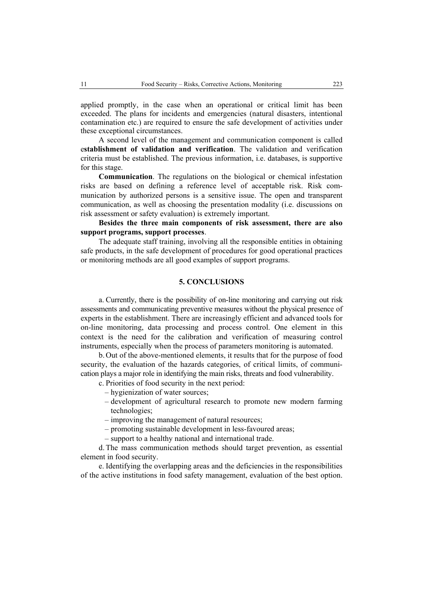applied promptly, in the case when an operational or critical limit has been exceeded. The plans for incidents and emergencies (natural disasters, intentional contamination etc.) are required to ensure the safe development of activities under these exceptional circumstances.

A second level of the management and communication component is called e**stablishment of validation and verification**. The validation and verification criteria must be established. The previous information, i.e. databases, is supportive for this stage.

**Communication**. The regulations on the biological or chemical infestation risks are based on defining a reference level of acceptable risk. Risk communication by authorized persons is a sensitive issue. The open and transparent communication, as well as choosing the presentation modality (i.e. discussions on risk assessment or safety evaluation) is extremely important.

# **Besides the three main components of risk assessment, there are also support programs, support processes**.

The adequate staff training, involving all the responsible entities in obtaining safe products, in the safe development of procedures for good operational practices or monitoring methods are all good examples of support programs.

# **5. CONCLUSIONS**

a. Currently, there is the possibility of on-line monitoring and carrying out risk assessments and communicating preventive measures without the physical presence of experts in the establishment. There are increasingly efficient and advanced tools for on-line monitoring, data processing and process control. One element in this context is the need for the calibration and verification of measuring control instruments, especially when the process of parameters monitoring is automated.

b. Out of the above-mentioned elements, it results that for the purpose of food security, the evaluation of the hazards categories, of critical limits, of communication plays a major role in identifying the main risks, threats and food vulnerability.

- c. Priorities of food security in the next period:
	- hygienization of water sources;
	- development of agricultural research to promote new modern farming technologies;
	- improving the management of natural resources;
	- promoting sustainable development in less-favoured areas;
	- support to a healthy national and international trade.

d. The mass communication methods should target prevention, as essential element in food security.

e. Identifying the overlapping areas and the deficiencies in the responsibilities of the active institutions in food safety management, evaluation of the best option.